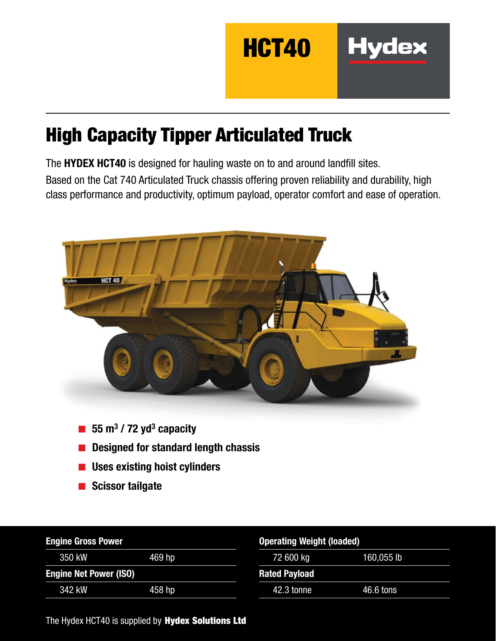

# High Capacity Tipper Articulated Truck

The HYDEX HCT40 is designed for hauling waste on to and around landfill sites. Based on the Cat 740 Articulated Truck chassis offering proven reliability and durability, high class performance and productivity, optimum payload, operator comfort and ease of operation.



- 
- Designed for standard length chassis
- Uses existing hoist cylinders
- Scissor tailgate

| <b>Engine Gross Power</b>     |        |                      | <b>Operating Weight (loaded)</b> |  |  |
|-------------------------------|--------|----------------------|----------------------------------|--|--|
| 350 kW                        | 469 hp | 72 600 kg            | 160,055 lb                       |  |  |
| <b>Engine Net Power (ISO)</b> |        | <b>Rated Payload</b> |                                  |  |  |
| 342 kW                        | 458 hp | 42.3 tonne           | 46.6 tons                        |  |  |

The Hydex HCT40 is supplied by Hydex Solutions Ltd